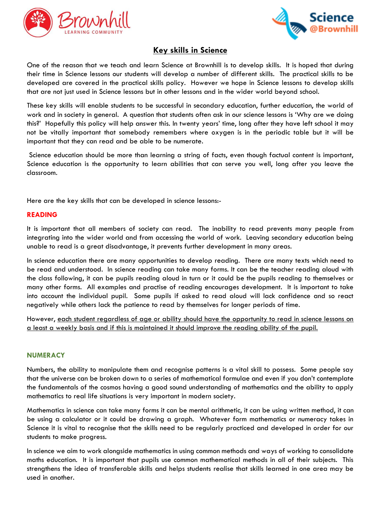



# **Key skills in Science**

One of the reason that we teach and learn Science at Brownhill is to develop skills. It is hoped that during their time in Science lessons our students will develop a number of different skills. The practical skills to be developed are covered in the practical skills policy. However we hope in Science lessons to develop skills that are not just used in Science lessons but in other lessons and in the wider world beyond school.

These key skills will enable students to be successful in secondary education, further education, the world of work and in society in general. A question that students often ask in our science lessons is 'Why are we doing this?' Hopefully this policy will help answer this. In twenty years' time, long after they have left school it may not be vitally important that somebody remembers where oxygen is in the periodic table but it will be important that they can read and be able to be numerate.

Science education should be more than learning a string of facts, even though factual content is important, Science education is the opportunity to learn abilities that can serve you well, long after you leave the classroom.

Here are the key skills that can be developed in science lessons:-

#### **READING**

It is important that all members of society can read. The inability to read prevents many people from integrating into the wider world and from accessing the world of work. Leaving secondary education being unable to read is a great disadvantage, it prevents further development in many areas.

In science education there are many opportunities to develop reading. There are many texts which need to be read and understood. In science reading can take many forms. It can be the teacher reading aloud with the class following, it can be pupils reading aloud in turn or it could be the pupils reading to themselves or many other forms. All examples and practise of reading encourages development. It is important to take into account the individual pupil. Some pupils if asked to read aloud will lack confidence and so react negatively while others lack the patience to read by themselves for longer periods of time.

However, each student regardless of age or ability should have the opportunity to read in science lessons on a least a weekly basis and if this is maintained it should improve the reading ability of the pupil.

## **NUMERACY**

Numbers, the ability to manipulate them and recognise patterns is a vital skill to possess. Some people say that the universe can be broken down to a series of mathematical formulae and even if you don't contemplate the fundamentals of the cosmos having a good sound understanding of mathematics and the ability to apply mathematics to real life situations is very important in modern society.

Mathematics in science can take many forms it can be mental arithmetic, it can be using written method, it can be using a calculator or it could be drawing a graph. Whatever form mathematics or numeracy takes in Science it is vital to recognise that the skills need to be regularly practiced and developed in order for our students to make progress.

In science we aim to work alongside mathematics in using common methods and ways of working to consolidate maths education. It is important that pupils use common mathematical methods in all of their subjects. This strengthens the idea of transferable skills and helps students realise that skills learned in one area may be used in another.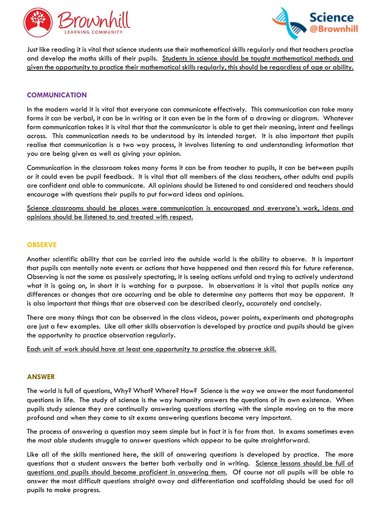



Just like reading it is vital that science students use their mathematical skills regularly and that teachers practise and develop the maths skills of their pupils. Students in science should be taught mathematical methods and given the opportunity to practice their mathematical skills regularly, this should be regardless of age or ability.

## **COMMUNICATION**

In the modern world it is vital that everyone can communicate effectively. This communication can take many forms it can be verbal, it can be in writing or it can even be in the form of a drawing or diagram. Whatever form communication takes it is vital that that the communicator is able to get their meaning, intent and feelings across. This communication needs to be understood by its intended target. It is also important that pupils realise that communication is a two way process, it involves listening to and understanding information that you are being given as well as giving your opinion.

Communication in the classroom takes many forms it can be from teacher to pupils, it can be between pupils or it could even be pupil feedback. It is vital that all members of the class teachers, other adults and pupils are confident and able to communicate. All opinions should be listened to and considered and teachers should encourage with questions their pupils to put forward ideas and opinions.

Science classrooms should be places were communication is encouraged and everyone's work, ideas and opinions should be listened to and treated with respect.

#### **OBSERVE**

Another scientific ability that can be carried into the outside world is the ability to observe. It is important that pupils can mentally note events or actions that have happened and then record this for future reference. Observing is not the same as passively spectating, it is seeing actions unfold and trying to actively understand what it is going on, in short it is watching for a purpose. In observations it is vital that pupils notice any differences or changes that are occurring and be able to determine any patterns that may be apparent. It is also important that things that are observed can be described clearly, accurately and concisely.

There are many things that can be observed in the class videos, power points, experiments and photographs are just a few examples. Like all other skills observation is developed by practice and pupils should be given the opportunity to practice observation regularly.

Each unit of work should have at least one opportunity to practice the observe skill.

## **ANSWER**

The world is full of questions, Why? What? Where? How? Science is the way we answer the most fundamental questions in life. The study of science is the way humanity answers the questions of its own existence. When pupils study science they are continually answering questions starting with the simple moving on to the more profound and when they come to sit exams answering questions become very important.

The process of answering a question may seem simple but in fact it is far from that. In exams sometimes even the most able students struggle to answer questions which appear to be quite straightforward.

Like all of the skills mentioned here, the skill of answering questions is developed by practice. The more questions that a student answers the better both verbally and in writing. Science lessons should be full of questions and pupils should become proficient in answering them. Of course not all pupils will be able to answer the most difficult questions straight away and differentiation and scaffolding should be used for all pupils to make progress.